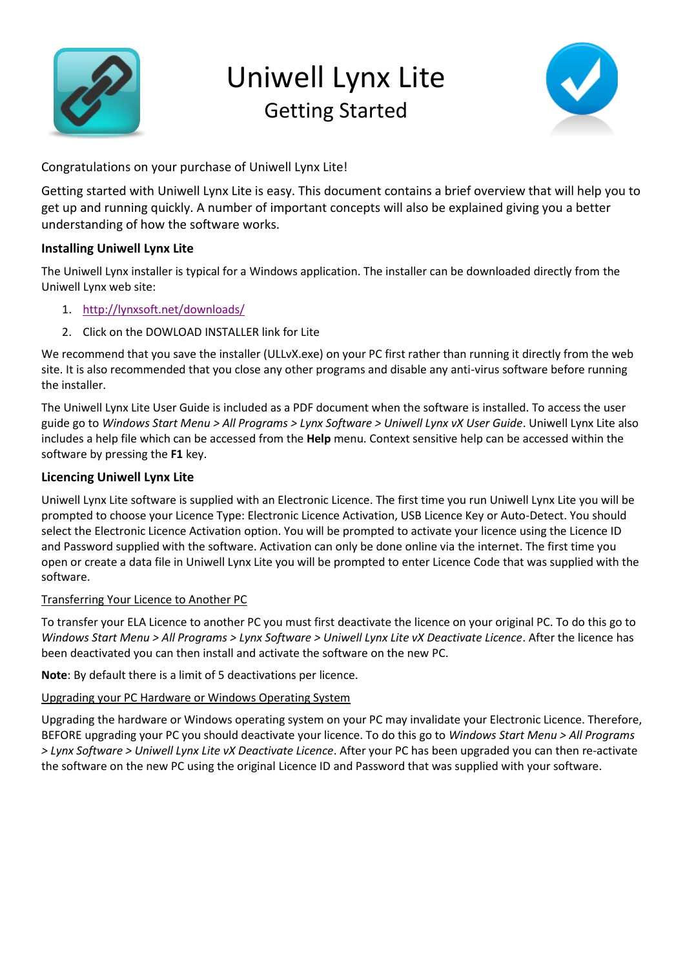

# Uniwell Lynx Lite Getting Started



Congratulations on your purchase of Uniwell Lynx Lite!

Getting started with Uniwell Lynx Lite is easy. This document contains a brief overview that will help you to get up and running quickly. A number of important concepts will also be explained giving you a better understanding of how the software works.

## **Installing Uniwell Lynx Lite**

The Uniwell Lynx installer is typical for a Windows application. The installer can be downloaded directly from the Uniwell Lynx web site:

- 1. <http://lynxsoft.net/downloads/>
- 2. Click on the DOWLOAD INSTALLER link for Lite

We recommend that you save the installer (ULLvX.exe) on your PC first rather than running it directly from the web site. It is also recommended that you close any other programs and disable any anti-virus software before running the installer.

The Uniwell Lynx Lite User Guide is included as a PDF document when the software is installed. To access the user guide go to *Windows Start Menu > All Programs > Lynx Software > Uniwell Lynx vX User Guide*. Uniwell Lynx Lite also includes a help file which can be accessed from the **Help** menu. Context sensitive help can be accessed within the software by pressing the **F1** key.

# **Licencing Uniwell Lynx Lite**

Uniwell Lynx Lite software is supplied with an Electronic Licence. The first time you run Uniwell Lynx Lite you will be prompted to choose your Licence Type: Electronic Licence Activation, USB Licence Key or Auto-Detect. You should select the Electronic Licence Activation option. You will be prompted to activate your licence using the Licence ID and Password supplied with the software. Activation can only be done online via the internet. The first time you open or create a data file in Uniwell Lynx Lite you will be prompted to enter Licence Code that was supplied with the software.

## Transferring Your Licence to Another PC

To transfer your ELA Licence to another PC you must first deactivate the licence on your original PC. To do this go to *Windows Start Menu > All Programs > Lynx Software > Uniwell Lynx Lite vX Deactivate Licence*. After the licence has been deactivated you can then install and activate the software on the new PC.

**Note**: By default there is a limit of 5 deactivations per licence.

## Upgrading your PC Hardware or Windows Operating System

Upgrading the hardware or Windows operating system on your PC may invalidate your Electronic Licence. Therefore, BEFORE upgrading your PC you should deactivate your licence. To do this go to *Windows Start Menu > All Programs > Lynx Software > Uniwell Lynx Lite vX Deactivate Licence*. After your PC has been upgraded you can then re-activate the software on the new PC using the original Licence ID and Password that was supplied with your software.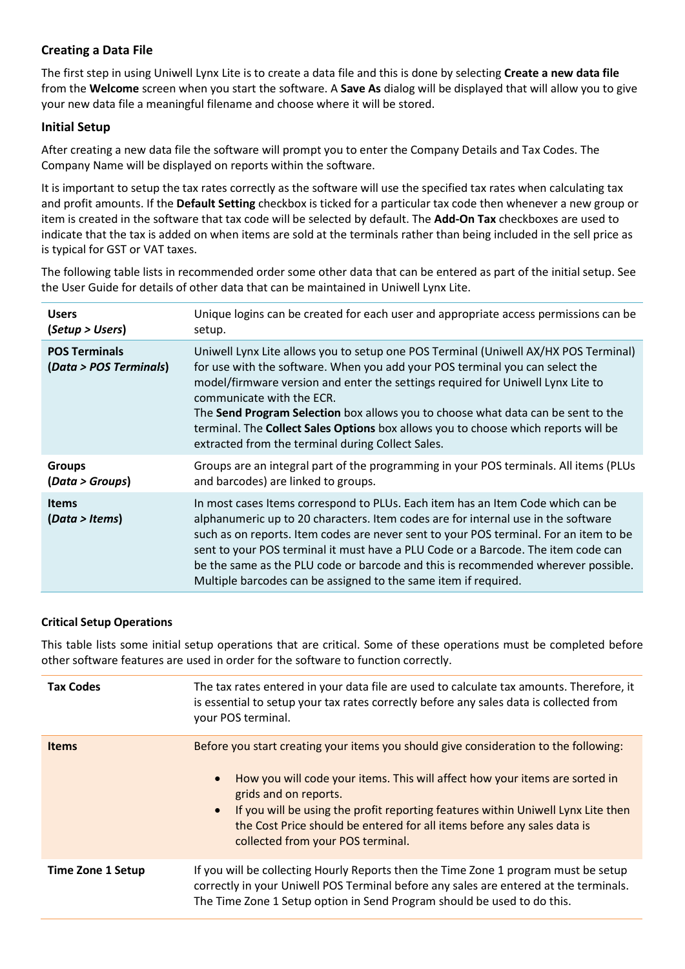## **Creating a Data File**

The first step in using Uniwell Lynx Lite is to create a data file and this is done by selecting **Create a new data file**  from the **Welcome** screen when you start the software. A **Save As** dialog will be displayed that will allow you to give your new data file a meaningful filename and choose where it will be stored.

#### **Initial Setup**

After creating a new data file the software will prompt you to enter the Company Details and Tax Codes. The Company Name will be displayed on reports within the software.

It is important to setup the tax rates correctly as the software will use the specified tax rates when calculating tax and profit amounts. If the **Default Setting** checkbox is ticked for a particular tax code then whenever a new group or item is created in the software that tax code will be selected by default. The **Add-On Tax** checkboxes are used to indicate that the tax is added on when items are sold at the terminals rather than being included in the sell price as is typical for GST or VAT taxes.

The following table lists in recommended order some other data that can be entered as part of the initial setup. See the User Guide for details of other data that can be maintained in Uniwell Lynx Lite.

| <b>Users</b>                                   | Unique logins can be created for each user and appropriate access permissions can be                                                                                                                                                                                                                                                                                                                                                                                                                               |
|------------------------------------------------|--------------------------------------------------------------------------------------------------------------------------------------------------------------------------------------------------------------------------------------------------------------------------------------------------------------------------------------------------------------------------------------------------------------------------------------------------------------------------------------------------------------------|
| (Setup > Users)                                | setup.                                                                                                                                                                                                                                                                                                                                                                                                                                                                                                             |
| <b>POS Terminals</b><br>(Data > POS Terminals) | Uniwell Lynx Lite allows you to setup one POS Terminal (Uniwell AX/HX POS Terminal)<br>for use with the software. When you add your POS terminal you can select the<br>model/firmware version and enter the settings required for Uniwell Lynx Lite to<br>communicate with the ECR.<br>The Send Program Selection box allows you to choose what data can be sent to the<br>terminal. The Collect Sales Options box allows you to choose which reports will be<br>extracted from the terminal during Collect Sales. |
| <b>Groups</b>                                  | Groups are an integral part of the programming in your POS terminals. All items (PLUs                                                                                                                                                                                                                                                                                                                                                                                                                              |
| (Data > Groups)                                | and barcodes) are linked to groups.                                                                                                                                                                                                                                                                                                                                                                                                                                                                                |
| <b>Items</b><br>(Data > items)                 | In most cases Items correspond to PLUs. Each item has an Item Code which can be<br>alphanumeric up to 20 characters. Item codes are for internal use in the software<br>such as on reports. Item codes are never sent to your POS terminal. For an item to be<br>sent to your POS terminal it must have a PLU Code or a Barcode. The item code can<br>be the same as the PLU code or barcode and this is recommended wherever possible.<br>Multiple barcodes can be assigned to the same item if required.         |

#### **Critical Setup Operations**

This table lists some initial setup operations that are critical. Some of these operations must be completed before other software features are used in order for the software to function correctly.

| <b>Tax Codes</b>         | The tax rates entered in your data file are used to calculate tax amounts. Therefore, it<br>is essential to setup your tax rates correctly before any sales data is collected from<br>your POS terminal.                                                                                                                                                                                         |
|--------------------------|--------------------------------------------------------------------------------------------------------------------------------------------------------------------------------------------------------------------------------------------------------------------------------------------------------------------------------------------------------------------------------------------------|
| <b>Items</b>             | Before you start creating your items you should give consideration to the following:<br>How you will code your items. This will affect how your items are sorted in<br>grids and on reports.<br>If you will be using the profit reporting features within Uniwell Lynx Lite then<br>the Cost Price should be entered for all items before any sales data is<br>collected from your POS terminal. |
| <b>Time Zone 1 Setup</b> | If you will be collecting Hourly Reports then the Time Zone 1 program must be setup<br>correctly in your Uniwell POS Terminal before any sales are entered at the terminals.<br>The Time Zone 1 Setup option in Send Program should be used to do this.                                                                                                                                          |